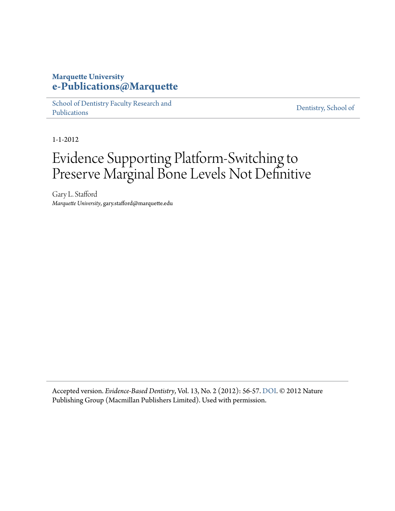### **Marquette University [e-Publications@Marquette](http://epublications.marquette.edu)**

[School of Dentistry Faculty Research and](http://epublications.marquette.edu/dentistry_fac) [Publications](http://epublications.marquette.edu/dentistry_fac)

[Dentistry, School of](http://epublications.marquette.edu/dentistry)

1-1-2012

## Evidence Supporting Platform-Switching to Preserve Marginal Bone Levels Not Definitive

Gary L. Stafford *Marquette University*, gary.stafford@marquette.edu

Accepted version. *Evidence-Based Dentistry*, Vol. 13, No. 2 (2012): 56-57. [DOI](http://dx.doi.org/10.1038/sj.ebd.6400864). © 2012 Nature Publishing Group (Macmillan Publishers Limited). Used with permission.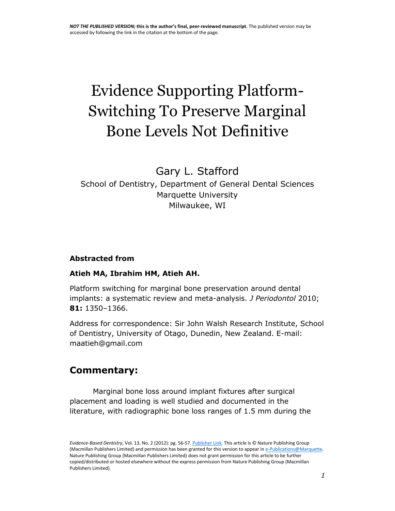# Evidence Supporting Platform-Switching To Preserve Marginal Bone Levels Not Definitive

## Gary L. Stafford

## School of Dentistry, Department of General Dental Sciences Marquette University Milwaukee, WI

#### **Abstracted from**

#### **Atieh MA, Ibrahim HM, Atieh AH.**

Platform switching for marginal bone preservation around dental implants: a systematic review and meta-analysis. *J Periodontol* 2010; **81:** 1350–1366.

Address for correspondence: Sir John Walsh Research Institute, School of Dentistry, University of Otago, Dunedin, New Zealand. E-mail: maatieh@gmail.com

## **Commentary:**

Marginal bone loss around implant fixtures after surgical placement and loading is well studied and documented in the literature, with radiographic bone loss ranges of 1.5 mm during the

*Evidence-Based Dentistry*, Vol. 13, No. 2 (2012): pg. 56-57[. Publisher Link.](http://www.nature.com/ebd/journal/v13/n2/abs/6400864a.html) This article is © Nature Publishing Group (Macmillan Publishers Limited) and permission has been granted for this version to appear in e-Publications@Marquette. Nature Publishing Group (Macmillan Publishers Limited) does not grant permission for this article to be further copied/distributed or hosted elsewhere without the express permission from Nature Publishing Group (Macmillan Publishers Limited).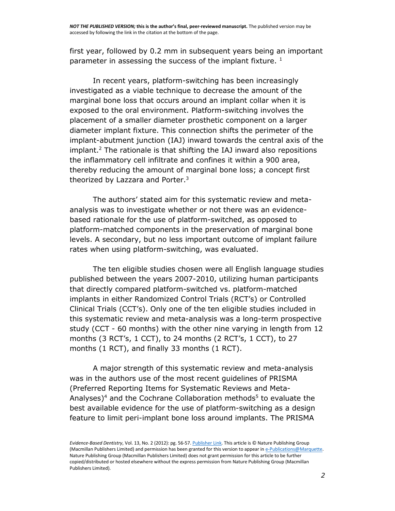first year, followed by 0.2 mm in subsequent years being an important parameter in assessing the success of the implant fixture.  $1$ 

In recent years, platform-switching has been increasingly investigated as a viable technique to decrease the amount of the marginal bone loss that occurs around an implant collar when it is exposed to the oral environment. Platform-switching involves the placement of a smaller diameter prosthetic component on a larger diameter implant fixture. This connection shifts the perimeter of the implant-abutment junction (IAJ) inward towards the central axis of the implant.<sup>2</sup> The rationale is that shifting the IAJ inward also repositions the inflammatory cell infiltrate and confines it within a 900 area, thereby reducing the amount of marginal bone loss; a concept first theorized by Lazzara and Porter.<sup>3</sup>

The authors' stated aim for this systematic review and metaanalysis was to investigate whether or not there was an evidencebased rationale for the use of platform-switched, as opposed to platform-matched components in the preservation of marginal bone levels. A secondary, but no less important outcome of implant failure rates when using platform-switching, was evaluated.

The ten eligible studies chosen were all English language studies published between the years 2007-2010, utilizing human participants that directly compared platform-switched vs. platform-matched implants in either Randomized Control Trials (RCT's) or Controlled Clinical Trials (CCT's). Only one of the ten eligible studies included in this systematic review and meta-analysis was a long-term prospective study (CCT - 60 months) with the other nine varying in length from 12 months (3 RCT's, 1 CCT), to 24 months (2 RCT's, 1 CCT), to 27 months (1 RCT), and finally 33 months (1 RCT).

A major strength of this systematic review and meta-analysis was in the authors use of the most recent guidelines of PRISMA (Preferred Reporting Items for Systematic Reviews and Meta-Analyses)<sup>4</sup> and the Cochrane Collaboration methods<sup>5</sup> to evaluate the best available evidence for the use of platform-switching as a design feature to limit peri-implant bone loss around implants. The PRISMA

*Evidence-Based Dentistry*, Vol. 13, No. 2 (2012): pg. 56-57[. Publisher Link.](http://www.nature.com/ebd/journal/v13/n2/abs/6400864a.html) This article is © Nature Publishing Group (Macmillan Publishers Limited) and permission has been granted for this version to appear in e-Publications@Marquette. Nature Publishing Group (Macmillan Publishers Limited) does not grant permission for this article to be further copied/distributed or hosted elsewhere without the express permission from Nature Publishing Group (Macmillan Publishers Limited).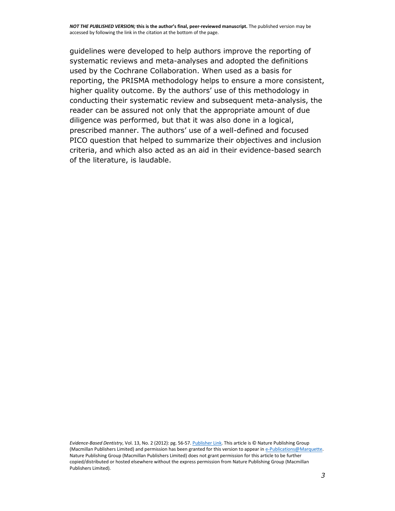*NOT THE PUBLISHED VERSION;* **this is the author's final, peer-reviewed manuscript.** The published version may be accessed by following the link in the citation at the bottom of the page.

guidelines were developed to help authors improve the reporting of systematic reviews and meta-analyses and adopted the definitions used by the Cochrane Collaboration. When used as a basis for reporting, the PRISMA methodology helps to ensure a more consistent, higher quality outcome. By the authors' use of this methodology in conducting their systematic review and subsequent meta-analysis, the reader can be assured not only that the appropriate amount of due diligence was performed, but that it was also done in a logical, prescribed manner. The authors' use of a well-defined and focused PICO question that helped to summarize their objectives and inclusion criteria, and which also acted as an aid in their evidence-based search of the literature, is laudable.

*Evidence-Based Dentistry*, Vol. 13, No. 2 (2012): pg. 56-57[. Publisher Link.](http://www.nature.com/ebd/journal/v13/n2/abs/6400864a.html) This article is © Nature Publishing Group (Macmillan Publishers Limited) and permission has been granted for this version to appear in e-Publications@Marquette. Nature Publishing Group (Macmillan Publishers Limited) does not grant permission for this article to be further copied/distributed or hosted elsewhere without the express permission from Nature Publishing Group (Macmillan Publishers Limited).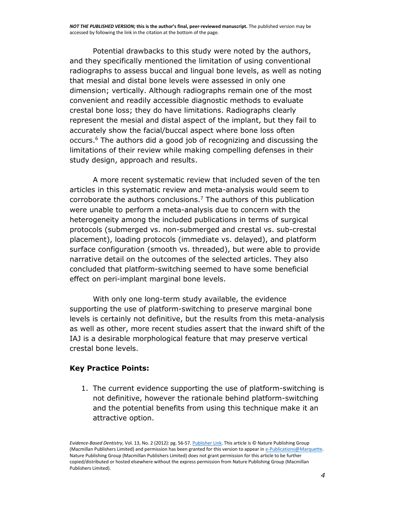Potential drawbacks to this study were noted by the authors, and they specifically mentioned the limitation of using conventional radiographs to assess buccal and lingual bone levels, as well as noting that mesial and distal bone levels were assessed in only one dimension; vertically. Although radiographs remain one of the most convenient and readily accessible diagnostic methods to evaluate crestal bone loss; they do have limitations. Radiographs clearly represent the mesial and distal aspect of the implant, but they fail to accurately show the facial/buccal aspect where bone loss often occurs.<sup>6</sup> The authors did a good job of recognizing and discussing the limitations of their review while making compelling defenses in their study design, approach and results.

A more recent systematic review that included seven of the ten articles in this systematic review and meta-analysis would seem to corroborate the authors conclusions.<sup>7</sup> The authors of this publication were unable to perform a meta-analysis due to concern with the heterogeneity among the included publications in terms of surgical protocols (submerged vs. non-submerged and crestal vs. sub-crestal placement), loading protocols (immediate vs. delayed), and platform surface configuration (smooth vs. threaded), but were able to provide narrative detail on the outcomes of the selected articles. They also concluded that platform-switching seemed to have some beneficial effect on peri-implant marginal bone levels.

With only one long-term study available, the evidence supporting the use of platform-switching to preserve marginal bone levels is certainly not definitive, but the results from this meta-analysis as well as other, more recent studies assert that the inward shift of the IAJ is a desirable morphological feature that may preserve vertical crestal bone levels.

#### **Key Practice Points:**

1. The current evidence supporting the use of platform-switching is not definitive, however the rationale behind platform-switching and the potential benefits from using this technique make it an attractive option.

*Evidence-Based Dentistry*, Vol. 13, No. 2 (2012): pg. 56-57[. Publisher Link.](http://www.nature.com/ebd/journal/v13/n2/abs/6400864a.html) This article is © Nature Publishing Group (Macmillan Publishers Limited) and permission has been granted for this version to appear in e-Publications@Marquette. Nature Publishing Group (Macmillan Publishers Limited) does not grant permission for this article to be further copied/distributed or hosted elsewhere without the express permission from Nature Publishing Group (Macmillan Publishers Limited).